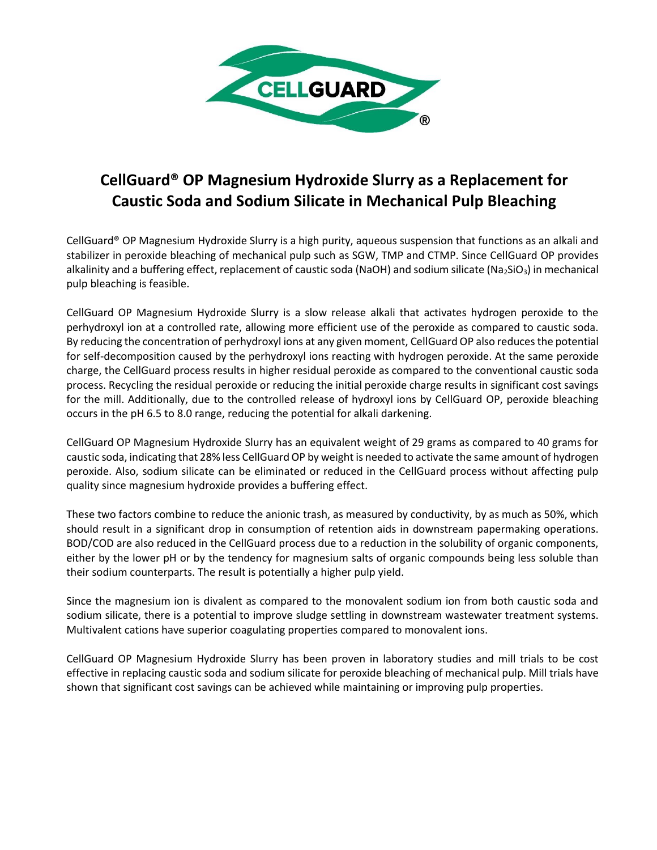

## **CellGuard® OP Magnesium Hydroxide Slurry as a Replacement for Caustic Soda and Sodium Silicate in Mechanical Pulp Bleaching**

CellGuard® OP Magnesium Hydroxide Slurry is a high purity, aqueous suspension that functions as an alkali and stabilizer in peroxide bleaching of mechanical pulp such as SGW, TMP and CTMP. Since CellGuard OP provides alkalinity and a buffering effect, replacement of caustic soda (NaOH) and sodium silicate (Na<sub>2</sub>SiO<sub>3</sub>) in mechanical pulp bleaching is feasible.

CellGuard OP Magnesium Hydroxide Slurry is a slow release alkali that activates hydrogen peroxide to the perhydroxyl ion at a controlled rate, allowing more efficient use of the peroxide as compared to caustic soda. By reducing the concentration of perhydroxyl ions at any given moment, CellGuard OP also reduces the potential for self-decomposition caused by the perhydroxyl ions reacting with hydrogen peroxide. At the same peroxide charge, the CellGuard process results in higher residual peroxide as compared to the conventional caustic soda process. Recycling the residual peroxide or reducing the initial peroxide charge results in significant cost savings for the mill. Additionally, due to the controlled release of hydroxyl ions by CellGuard OP, peroxide bleaching occurs in the pH 6.5 to 8.0 range, reducing the potential for alkali darkening.

CellGuard OP Magnesium Hydroxide Slurry has an equivalent weight of 29 grams as compared to 40 grams for caustic soda, indicating that 28% less CellGuard OP by weight is needed to activate the same amount of hydrogen peroxide. Also, sodium silicate can be eliminated or reduced in the CellGuard process without affecting pulp quality since magnesium hydroxide provides a buffering effect.

These two factors combine to reduce the anionic trash, as measured by conductivity, by as much as 50%, which should result in a significant drop in consumption of retention aids in downstream papermaking operations. BOD/COD are also reduced in the CellGuard process due to a reduction in the solubility of organic components, either by the lower pH or by the tendency for magnesium salts of organic compounds being less soluble than their sodium counterparts. The result is potentially a higher pulp yield.

Since the magnesium ion is divalent as compared to the monovalent sodium ion from both caustic soda and sodium silicate, there is a potential to improve sludge settling in downstream wastewater treatment systems. Multivalent cations have superior coagulating properties compared to monovalent ions.

CellGuard OP Magnesium Hydroxide Slurry has been proven in laboratory studies and mill trials to be cost effective in replacing caustic soda and sodium silicate for peroxide bleaching of mechanical pulp. Mill trials have shown that significant cost savings can be achieved while maintaining or improving pulp properties.